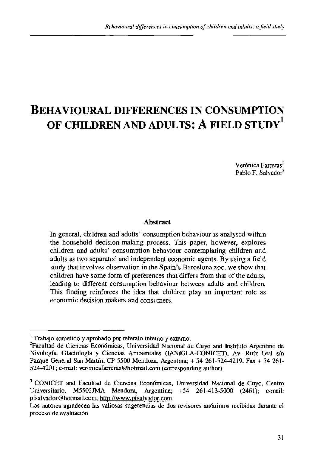# **BEHAVIOURAL DIFFERENCES IN CONSUMPTION OF CHILDREN AND ADULTS: A FIELD STUDY'**

Verónica Farreras<sup>2</sup> Pablo F. Salvador<sup>3</sup>

#### **Abstract**

In general, children and adults' consumption behaviour is analysed within the household decision-making process. This paper, however, explores children and adults' consumption behaviour contemplating children and adults as two separated and independent economic agents. By using a field study that involves observation in the Spain's Barcelona zoo, we show that children have some form of preferences that differs from that of the adults, leading to different consumption behaviour between adults and children. This finding reinforces the idea that children play an important role as economic decision **makers** and consumers.

<sup>&#</sup>x27; Trabajo sometido y aprobado por referato intemo y extemo.

<sup>&</sup>lt;sup>2</sup>Facultad de Ciencias Económicas, Universidad Nacional de Cuyo and Instituto Argentino de Nivología, Glaciología y Ciencias Ambientales (IANIGLA-CONICET), Av. Ruíz Leal s/n Pque General **San** Martin, CP 5500 Mendoza, Argentina; + 54 261-524-4219, Fax + 54 261- 524-4201; e-mail: veronicafarreras@hotmail.com (corresponding author).

<sup>&</sup>lt;sup>3</sup> CONICET and Facultad de Ciencias Económicas, Universidad Nacional de Cuyo, Centro Universitario, M5502JMA Mendoza, Argentina;  $+54$  261-413-5000 (2461); e-mail: Argentina;  $+54$  261-413-5000 (2461); e-mail: pfsalvador@hotmail.com; http://www.pfsalvador.com

Los autores agradecen las valiosas sugerencias de dos revisores anónimos recibidas durante el proceso de evaluacidn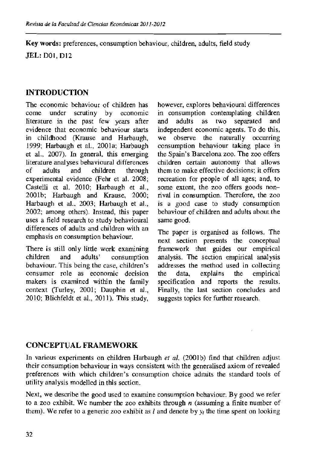**Key words:** preferences, consumption behaviour, children, adults, field study

JEL: DOI. Dl2

# **INTRODUCTION**

The economic behaviour of children has come under scrutiny by economic literature in the past few years after evidence that economic behaviour starts in childhood (Krause and Harbaugh, 1999; Harbaugh et al., 2001a; Harbaugh et al., 2007). In general, this emerging literature analyses behavioural differences<br>of adults and children through of adults and children through experimental evidence (Fehr et al. 2008; Castelli et al. 2010; Harbaugh et al., 2001b; Harbaugh and Krause, 2000; Harbaugh et al., 2003; Harbaugh et al., 2002; among others). Instead, this paper uses a field research to study behavioural differences of adults and children with an emphasis on consumption behaviour.

There is still only little work examining children and adults' consumption behaviour. This being the case, children's consumer role as economic decision makers is examined within the family context (Turley, 2001; Dauphin et **al.,**  2010; Blichfeldt et al., 201 I). This study,

however, explores behavioural differences in consumption contemplating children<br>and adults as two separated and and adults as two separated and independent economic agents. To do this, we observe the naturally occurring consumption behaviour taking place in the Spain's Barcelona zoo. The zoo offers children certain autonomy that allows them to make effective decisions; it offers recreation for people of all ages; and. to some extent, the zoo offers goods nonrival in consumption. Therefore, the zoo is a good case to study consumption behaviour of chiIdren and adults about the same good.

The paper is organised as follows. The next section presents the conceptual framework that guides our empirical analysis. The section empirical analysis addresses the method used in collecting<br>the data, explains the empirical the data, explains the specification and reports the results. Finally, the last section concludes and suggests topics for further research.

# **CONCEPTUAL FRAMEWORK**

In various experiments on children Harbaugh et al. (2001b) find that children adjust their consumption behaviour in ways consistent with the generalised axiom of revealed preferences with which children's consumption choice admits the standard tools of utility analysis modelled in this section.

Next, we describe the good used to examine consumption behaviour. By good we refer to a zoo exhibit. We number the zoo exhibits through **n** (assuming a finite number of them). We refer to a generic zoo exhibit as  $l$  and denote by  $y_l$  the time spent on looking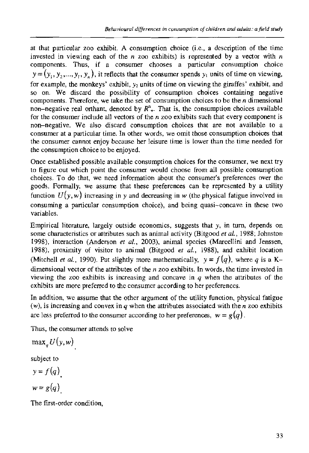at that particular zoo exhibit. A consumption choice (i.e., a description of the time invested in viewing each of the n zoo exhibits) is represented by a vector with  $n$ components. Thus, if a consumer chooses a particular consumption choice  $y = (y_1, y_2, ..., y_i, y_n)$ , it reflects that the consumer spends  $y_1$  units of time on viewing, for example, the monkeys' exhibit,  $y_2$  units of time on viewing the giraffes' exhibit, and so on. We discard the possibility of consumption choices containing negative components. Therefore, we take the set of consumption choices to be the  $n$  dimensional non-negative real orthant, denoted by  $R^{n}_{+}$ . That is, the consumption choices available for the consumer include all vectors of the  $n$  zoo exhibits such that every component is non-negative. We also discard consumption choices that are not available to a consumer at a particular time. In other words, we omit those consumption choices that the consumer cannot enjoy because her leisure time is lower than the time needed for the consumption choice to be enjoyed.

Once established possible available consumption choices for the consumer, we next try to figure out which point the consumer would choose from all possible consumption choices. To do that, we need information about the consumer's preferences over the goods. Formally, we assume that these preferences can be represented by a utility function  $U(y, w)$  increasing in y and decreasing in w (the physical fatigue involved in consuming a panicular consumption choice), and being quasi-concave in these two variables.

Empirical literature, largely outside economics, suggests that **g,** in turn, depends on some characteristics or attributes such ac animal activity (Bitgood **er** *al.,* 1988; Johnston 1998), interaction (Anderson **et** *al.,* 2003). animal species (Marcellini and Jenssen, 1988). proximity of visitor to animal (Bitgood **er** *al.,* 1988), and exhibit location (Mitchell *et al.*, 1990). Put slightly more mathematically,  $y = f(q)$ , where *q* is a Kdimensional vector of the attributes of the  $n$  zoo exhibits. In words, the time invested in viewing the zoo exhibits is increasing and concave in *q* when the attributes of the exhibits are more preferred to the consumer according to her preferences.

In addition, we assume that the other argument of the utility function, physical fatigue  $(w)$ , is increasing and convex in  $q$  when the attributes associated with the  $n$  zoo exhibits are less preferred to the consumer according to her preferences,  $w = g(q)$ .

Thus, the consumer attends to solve

 $\max_{q} U(y,w)$ 

subject to

$$
y = f(q)
$$
  

$$
w = g(q)
$$

The first-order condition,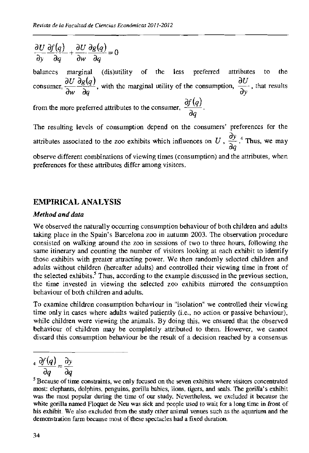*au af (4)* +--- *au ag(s)* -, - <sup>g</sup>*a4* **m~** *a4*  balances marginal (dis)utility of the less preferred attributes to the *au*   $\frac{\partial y}{\partial q}$   $\frac{\partial q}{\partial w}$   $\frac{\partial q}{\partial q}$  (dis)utility of the less preferred attributes to the consumer,  $\frac{\partial U}{\partial w} \frac{\partial g(q)}{\partial q}$ , with the marginal utility of the consumption,  $\frac{\partial U}{\partial y}$ , that results consumer,  $\frac{\partial w}{\partial q}$ , with the marginal utility of the consumer,  $\frac{\partial f(q)}{\partial q}$ .

The resulting levels of consumption depend on the consumers' preferences for the attributes associated to the zoo exhibits which influences on *U*,  $\frac{\partial y}{\partial q}$ <sup>4</sup>. Thus, we may observe different combinations of viewing times (consumption) and the attributes, when preferences for these attributes differ among visitors.

## **EMPLRICAL ANALYSIS**

### *Method and data*

We observed the naturally occurring consumption behaviour of both children and adults taking place in the Spain's Barcelona zoo in autumn 2003. The observation procedure consisted on walking around the zoo in sessions of two to thee hours, following the same itinerary and counting the number of visitors looking at each exhibit to identify those exhibits with greater attracting power. We then randomly selected children and adults without children (hereafter adults) and controlled their viewing time in front of the selected exhibits.<sup>5</sup> Thus, according to the example discussed in the previous section, the time invested in viewing the selected zoo exhibits mirrored the consumption behaviour of both children and adults.

To examine children consumption behaviour in "isolation" we controlled their viewing time only in cases where adults waited patiently (i.e., no action or passive behaviour), while children were viewing the animals. By doing this. we ensured that the observed behaviour of children may be completely attributed to them. However, we cannot discard this consumption behaviour be the result of a decision reached by a consensus

 $\frac{a}{d} \frac{\partial f(q)}{\partial q} = \frac{\partial y}{\partial q}$ 

 $<sup>5</sup>$  Because of time constraints, we only focused on the seven exhibits where visitors concentrated</sup> most: elephants, dolphins, penguins, gorilla babies, lions. tigers, and seals. The gorilla's exhibit was the most popular during the time of cut study. Nevertheless, we excluded it because the white gorilla named Floquet de Neu was sick and people used to wait for a long time in front of his exhibit. We also excluded from the study other animal venues such **as** the aquarium and the demonstration farm because most of these spectacles had a fixed duration.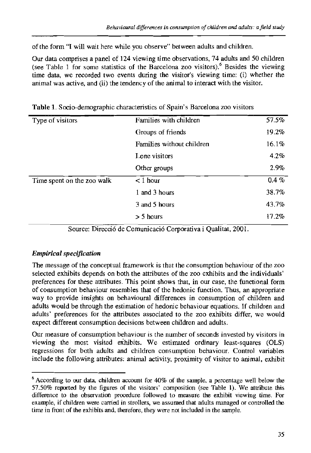of the form "I will wait here while you observe" between adults and children.

Our data comprises a panel of 124 viewing time observations, 74 adults and 50 children (see Table 1 for some statistics of the Barcelona zoo visitors).<sup>6</sup> Besides the viewing time **data,** we recorded two events during the visitor's viewing time: (i) whether the animal was active, and (ii) the tendency of the animal to interact with the visitor.

| Type of visitors           | Families with children    | 57.5%    |
|----------------------------|---------------------------|----------|
|                            | Groups of friends         | 19.2%    |
|                            | Families without children | 16.1%    |
|                            | Lone visitors             | 4.2%     |
|                            | Other groups              | 2.9%     |
| Time spent on the zoo walk | $<$ 1 hour                | $0.4 \%$ |
|                            | 1 and 3 hours             | 38.7%    |
|                            | 3 and 5 hours             | 43.7%    |
|                            | $> 5$ hours               | 17.2%    |

**Table 1.** Sccio-demographic characteristics of Spain's Barcelona zoo visitors

Source: Direcció de Comunicació Corporativa i Qualitat, 2001.

## *Empirical specificaiion*

The message of the conceptual ftamework is that the consumption behaviou of the zoo selected exhibits depends on both the attributes of the zoo exhibits and the individuals' preferences for these attributes. This point shows that, in our case, the functional form of consumption behaviou resembles that of the bedonic function. Thus, an appropriate way to provide insights on behavioural differences in consumption of children and adults would be through the estimation of hedonic behaviour equations. If children and adults' preferences for the attributes associated to the zoo exhibits differ, we would expect different consumption decisions between chiIdren and adults.

Our measure of consumption behaviour is the number of seconds invested by visitors in viewing the most visited exhibits. We estimated ordinary least-squares (OLS) regressions for both adults and children consumption behaviour. Control variables include the following attributes: animal activity, proximity of visitor to animal, exhibit

 $6$  According to our data, children account for 40% of the sample, a percentage well below the 57.50% reported by the figures of the visitors' composition (see Table 1). We attribute this difference to the observation procedure followed to measure the exhibit viewing time. For example, if children were carried in strollers, we assumed that adults managed or controlled the time in front of the exhibits and, therefore, they were not included in the sample.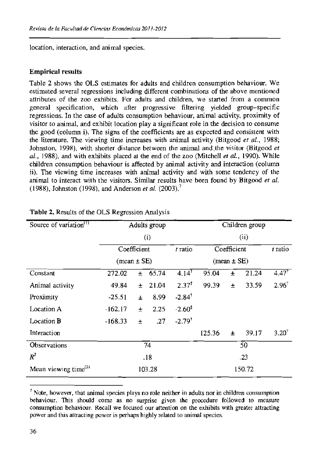location, interaction, and animal species.

#### Empirical results

Table 2 shows the OLS estimates for adults and children consumption behaviour. We estimated several regressions including different combinations of the above mentioned attributes of the zoo exhibits. For adults and children, we staned from a common general specification, which after progressive filtering yielded group-specific regressions. In the case of adults consumption behaviour, animal activity, proximity of visitor to animal, and exhibit location play a significant role in the decision to consume the good (column i). The signs of the coefficients are as expected and consistent with the literature. The viewing time increases with animal activity (Bitgood *et* **a/.,** 1988; Johnston, 1998). with shorter distance between the animal andthe visitor (Bitgood *et*  **a/.,** 1988), **and** with exhibits placed at the end of the zoo (Mitchell *et* **al.,** 1990). While children consumption behaviour is affected by animal activity and interaction (column ii). The viewing time increases with animal activity and with some tendency of the animal to interact with the visitors. Similar results have been found by Bitgood *et* **a/.**  (19881, Johnston (1998, and Anderson *et* **al.** (2003).'

| Source of variation <sup>(1)</sup> | Adults group                  |       |       |                      | Children group                |       |       |                  |
|------------------------------------|-------------------------------|-------|-------|----------------------|-------------------------------|-------|-------|------------------|
|                                    | (i)                           |       |       |                      | (ii)                          |       |       |                  |
|                                    | Coefficient                   |       |       | t ratio              | Coefficient                   |       |       | t ratio          |
|                                    | $(\text{mean} \pm \text{SE})$ |       |       |                      | $(\text{mean} \pm \text{SE})$ |       |       |                  |
| Constant                           | 272.02                        | $\pm$ | 65.74 | $4.14^{\dagger}$     | 95.04                         | 士     | 21.24 | $4.47^{\dagger}$ |
| Animal activity                    | 49.84                         | Ŧ     | 21.04 | $2.37^{\ddagger}$    | 99.39                         | $\pm$ | 33.59 | $2.96^{\dagger}$ |
| Proximity                          | $-25.51$                      | $\pm$ | 8.99  | $-2.84^{\dagger}$    |                               |       |       |                  |
| Location A                         | $-162.17$                     | $\pm$ | 2.25  | $-2.60^{\ddagger}$   |                               |       |       |                  |
| Location <b>B</b>                  | $-168.33$                     | $\pm$ | .27   | $-2.79$ <sup>t</sup> |                               |       |       |                  |
| Interaction                        |                               |       |       |                      | 125.36                        | $\pm$ | 39.17 | $3.20^{+}$       |
| Observations                       | 74                            |       |       |                      | 50                            |       |       |                  |
| $R^2$                              | .18                           |       |       |                      | .23                           |       |       |                  |
| Mean viewing time $^{(2)}$         | 103.28                        |       |       |                      | 150.72                        |       |       |                  |

#### Table **2.** Results of the OLS Regression Analysis

<sup>&</sup>lt;sup>7</sup> Note, however, that animal species plays no role neither in adults nor in children consumption behaviour. This should come as no surprise given the procedure followed to measure consumption behaviour. Recall we focused our attention on the exhibits with greater attracting power and this attracting power is perhaps highly related to animal species.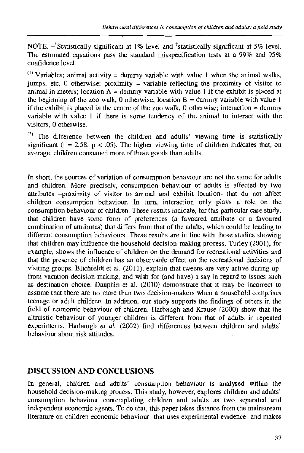NOTE.  $-$ <sup>t</sup>Statistically significant at 1% level and <sup>+</sup>statistically significant at 5% level. The estimated equations pass the standard misspecification tests at a 99% and 95% confidence level.

 $^{(1)}$  Variables: animal activity = dummy variable with value 1 when the animal walks, jumps, etc, 0 otherwise: proximity = variable reflecting the proximity of visitor to animal in meters; location  $A =$  dummy variable with value 1 if the exhibit is placed at the beginning of the zoo walk, 0 otherwise; location  $B =$  dummy variable with value 1 if the exhibit is placed in the centre of the zoo walk, 0 otherwise; interaction = dummy variable with value I if there is some tendency of the animal to interact with the visitors, 0 otherwise.

The difference between the children and adults' viewing time is statistically significant ( $t = 2.58$ ,  $p < .05$ ). The higher viewing time of children indicates that, on average, children consumed more of these goods than adults.

In short, the sources of variation of consumption behaviour are not the same for adults and children. More precisely, consumption behaviour of adults is affected by two attributes -proximity of visitor to animal and exhibit location- that do not affect children consumption behaviour. In turn, interaction only plays a role on the consumption behaviour of children These results indicate, for this patticular case study, that children have some form of preferences (a favoured attribute or a favoured combination of attributes) that differs from that of the adults, which could be leading to different consumption behaviours. These results are in line with those studies showing that children may influence the household decision-making process. Turley (2001), for example, shows the influence of children on the demand for recreational activities and that the presence of children has an observable effect on the recreational decisions of visiting groups. Blichfeldt et al. (2011), explain that tweens are very active during upfront vacation decision-making, and wish for (and have) a say in regard to issues such as destination choice. Dauphin et al. (2010) demonstrate that it may be incorrect to assume that there are no more than two decision-makers when a household comprises teenage or adult children. In addition, our study supports the findings of others in the field of economic behaviour of children. Harbaugh and Krause (2000) show that the altruistic behaviour of younger children is different from that of adults in repeated experiments. Harbaugh *et* **al.** (2002) find differences between children and adults' behaviour about risk attitudes.

# **DISCUSSION AND CONCLUSIONS**

In general, children and adults' consumption behaviour is analysed within the household decision-making process. This study, however, explores children and adults' consumption behaviour contemplating children and adults as two separated and independent economic agents. To do that, this paper takes distance from the mainstream literature on children economic behaviour -that uses experimental evidence- and makes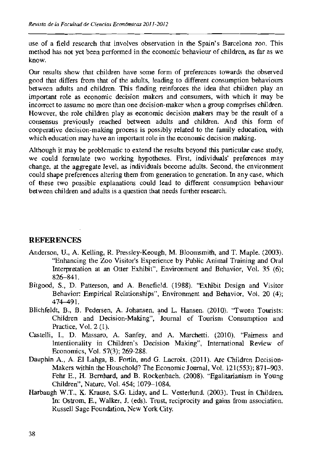use of a field research that involves observation in the Spain's Barcelona zoo. This method has not yet been performed in the economic behaviour of children, as far as we know.

Our results show that children have some form of preferences towards the observed good that differs from that of the adults, leading to different consumption behaviours between adults and children. This finding reinforces the idea that children play an important role as economic decision makers and consumers, with which it may be incorrect to assume no more than one decision-maker when a group comprises children. However, the role children play as economic decision makers may be the result of a consensus previously reached between adults and children. And this form of cooperative decision-making process is possibly related to the family education, with which education may have an important role in the economic decision making.

Although it may be problematic to extend the results beyond this parlicular case study, we could formulate two working hypotheses. First, individuals' preferences may change, at the aggregate level, as individuals become adults. Second, the environment could shape preferences altering them from generation to generation. In any case, which of these two possible explanations could lead to different consumption khaviour between children and adults is a question that needs further research.

## **REFERENCES**

- Anderson, U., A. Kelling, R. Prcssley-Keough, M. Bloomsmith, and T. Maple. (2003). "Enhancing the Zoo Visitor's Experience by Public Animal Training and Oral Interpretation at an Otter Exhibit", Environment and Behavior, Vol. 35 (6); 826-84 1.
- Bitgood, S., D. Patterson, and A. Benefield. (1988). "Exhibit Design and Visitor Behavior: Empirical Relationships", Environment and Behavior, Vol. 20 (4); 474-49 1.
- Blichfeldt, B., B. Pedasen, A. Johansen, and L. Hansen. (2010). 'Tween Tourists: Children and Decision-Making", Journal of Tourism Consumption and Practice, Vol. 2 (1).
- Castelli, I., D. Massaro, A. Sanfey, and A. Marchetti. (2010). 'Fairness and intentionality in Children's Decision Making", International Review of Economics, Vol. 57(3); 269-288.
- Dauphin **A,,** A. El Lahga, B. Fortin, and *G.* Lacroix. (2011). Are Children Decision-Makers within the Household? The Economic Journal, Vol. 121(553); 871-903. Fehr E., H. Bernhard, and B. Rockenbach. (2008). "Egalitarianism in Young Children", Nature, Vol. 454; 1079-1084.
- Harbaugh W.T., K. Krause, S.G. Liday, and L. Vesterlund. (2003). Trust in Children. In: Ostrom, E., Walker, J. (eds). Trust, reciprocity and gains from association. Russell Sage Foundation, New York City.